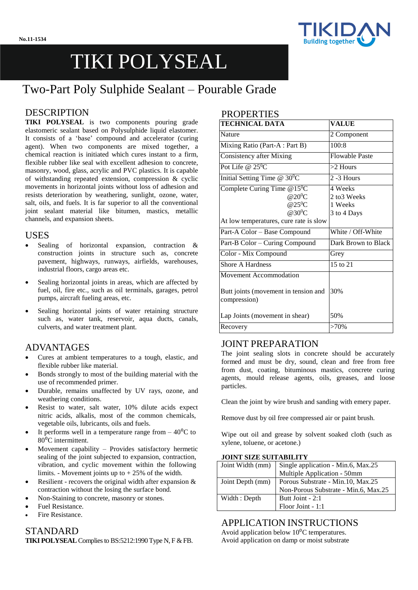

# TIKI POLYSEAL

## Two-Part Poly Sulphide Sealant – Pourable Grade

## DESCRIPTION

**TIKI POLYSEAL** is two components pouring grade elastomeric sealant based on Polysulphide liquid elastomer. It consists of a 'base' compound and accelerator (curing agent). When two components are mixed together, a chemical reaction is initiated which cures instant to a firm, flexible rubber like seal with excellent adhesion to concrete, masonry, wood, glass, acrylic and PVC plastics. It is capable of withstanding repeated extension, compression & cyclic movements in horizontal joints without loss of adhesion and resists deterioration by weathering, sunlight, ozone, water, salt, oils, and fuels. It is far superior to all the conventional joint sealant material like bitumen, mastics, metallic channels, and expansion sheets.

#### USES

- Sealing of horizontal expansion, contraction & construction joints in structure such as, concrete pavement, highways, runways, airfields, warehouses, industrial floors, cargo areas etc.
- Sealing horizontal joints in areas, which are affected by fuel, oil, fire etc., such as oil terminals, garages, petrol pumps, aircraft fueling areas, etc.
- Sealing horizontal joints of water retaining structure such as, water tank, reservoir, aqua ducts, canals, culverts, and water treatment plant.

## ADVANTAGES

- Cures at ambient temperatures to a tough, elastic, and flexible rubber like material.
- Bonds strongly to most of the building material with the use of recommended primer.
- Durable, remains unaffected by UV rays, ozone, and weathering conditions.
- Resist to water, salt water, 10% dilute acids expect nitric acids, alkalis, most of the common chemicals, vegetable oils, lubricants, oils and fuels.
- It performs well in a temperature range from  $-40^{\circ}$ C to  $80^{\circ}$ C intermittent.
- Movement capability Provides satisfactory hermetic sealing of the joint subjected to expansion, contraction, vibration, and cyclic movement within the following limits. - Movement joints up to + 25% of the width.
- Resilient recovers the original width after expansion  $\&$ contraction without the losing the surface bond.
- Non-Staining to concrete, masonry or stones.
- Fuel Resistance.
- Fire Resistance.

## STANDARD **TIKI POLYSEAL**Compliesto BS:5212:1990Type N, F & FB.

## **PROPERTIES**

| <b>TECHNICAL DATA</b>                                                                                                              | <b>VALUE</b>                                      |  |
|------------------------------------------------------------------------------------------------------------------------------------|---------------------------------------------------|--|
| Nature                                                                                                                             | 2 Component                                       |  |
| Mixing Ratio (Part-A: Part B)                                                                                                      | 100:8                                             |  |
| Consistency after Mixing                                                                                                           | <b>Flowable Paste</b>                             |  |
| Pot Life @ $25^0C$                                                                                                                 | $>2$ Hours                                        |  |
| Initial Setting Time $@30^0C$                                                                                                      | $2 - 3$ Hours                                     |  |
| Complete Curing Time $@15^0C$<br>@20 $^0C$<br>$@25$ <sup>0</sup> C<br>@30 <sup>0</sup> C<br>At low temperatures, cure rate is slow | 4 Weeks<br>2 to 3 Weeks<br>1 Weeks<br>3 to 4 Days |  |
| Part-A Color - Base Compound                                                                                                       | White / Off-White                                 |  |
| Part-B Color - Curing Compound                                                                                                     | Dark Brown to Black                               |  |
| Color - Mix Compound                                                                                                               | Grey                                              |  |
| <b>Shore A Hardness</b>                                                                                                            | 15 to 21                                          |  |
| <b>Movement Accommodation</b><br>Butt joints (movement in tension and<br>compression)                                              | 30%                                               |  |
| Lap Joints (movement in shear)                                                                                                     | 50%                                               |  |
| Recovery                                                                                                                           | $>70\%$                                           |  |

## JOINT PREPARATION

The joint sealing slots in concrete should be accurately formed and must be dry, sound, clean and free from free from dust, coating, bituminous mastics, concrete curing agents, mould release agents, oils, greases, and loose particles.

Clean the joint by wire brush and sanding with emery paper.

Remove dust by oil free compressed air or paint brush.

Wipe out oil and grease by solvent soaked cloth (such as xylene, toluene, or acetone.)

#### **JOINT SIZE SUITABILITY**

| Joint Width (mm) | Single application - Min.6, Max.25   |  |
|------------------|--------------------------------------|--|
|                  | Multiple Application - 50mm          |  |
| Joint Depth (mm) | Porous Substrate - Min.10, Max.25    |  |
|                  | Non-Porous Substrate - Min.6, Max.25 |  |
| Width: Depth     | Butt Joint - 2:1                     |  |
|                  | Floor Joint - 1:1                    |  |

## APPLICATION INSTRUCTIONS

Avoid application below  $10^{0}$ C temperatures. Avoid application on damp or moist substrate